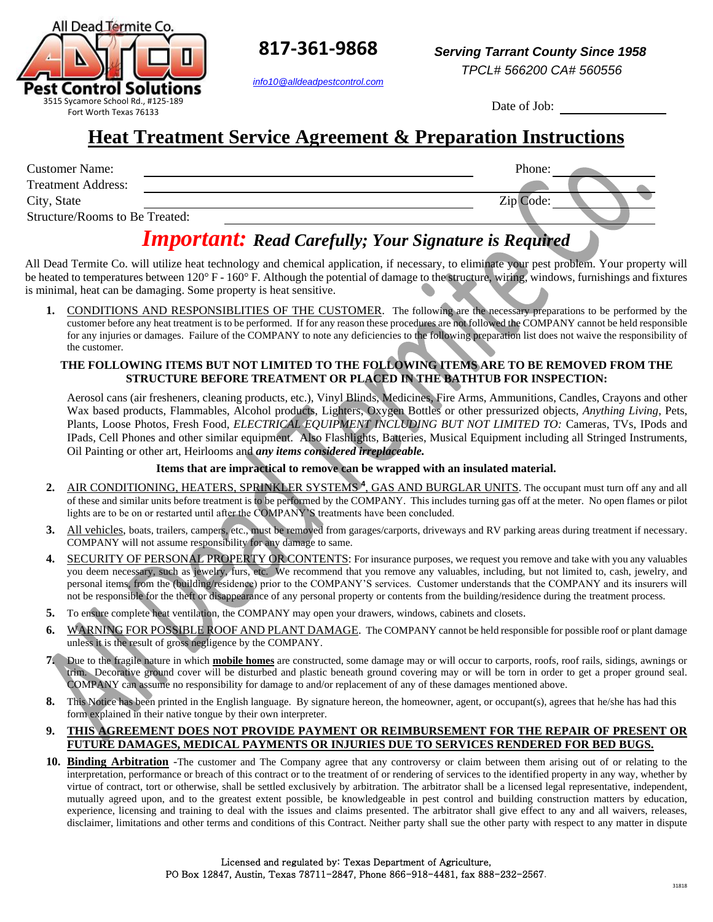

**817-361-9868**

*info10@alldeadpestcontrol.com*

Date of Job:

# **Heat Treatment Service Agreement & Preparation Instructions**

| <b>Customer Name:</b>          | Phone:    |  |
|--------------------------------|-----------|--|
| <b>Treatment Address:</b>      |           |  |
| City, State                    | Zip Code: |  |
| Structure/Rooms to Be Treated: |           |  |

## *Important: Read Carefully; Your Signature is Required*

All Dead Termite Co. will utilize heat technology and chemical application, if necessary, to eliminate your pest problem. Your property will be heated to temperatures between 120° F - 160° F. Although the potential of damage to the structure, wiring, windows, furnishings and fixtures is minimal, heat can be damaging. Some property is heat sensitive.

1. CONDITIONS AND RESPONSIBLITIES OF THE CUSTOMER. The following are the necessary preparations to be performed by the customer before any heat treatment is to be performed. If for any reason these procedures are not followed the COMPANY cannot be held responsible for any injuries or damages. Failure of the COMPANY to note any deficiencies to the following preparation list does not waive the responsibility of the customer.

#### **THE FOLLOWING ITEMS BUT NOT LIMITED TO THE FOLLOWING ITEMS ARE TO BE REMOVED FROM THE STRUCTURE BEFORE TREATMENT OR PLACED IN THE BATHTUB FOR INSPECTION:**

Aerosol cans (air fresheners, cleaning products, etc.), Vinyl Blinds, Medicines, Fire Arms, Ammunitions, Candles, Crayons and other Wax based products, Flammables, Alcohol products, Lighters, Oxygen Bottles or other pressurized objects, *Anything Living*, Pets, Plants, Loose Photos, Fresh Food, *ELECTRICAL EQUIPMENT INCLUDING BUT NOT LIMITED TO:* Cameras, TVs, IPods and IPads, Cell Phones and other similar equipment. Also Flashlights, Batteries, Musical Equipment including all Stringed Instruments, Oil Painting or other art, Heirlooms and *any items considered irreplaceable.* 

#### **Items that are impractical to remove can be wrapped with an insulated material.**

- 2. AIR CONDITIONING, HEATERS, SPRINKLER SYSTEMS<sup>4</sup>, GAS AND BURGLAR UNITS. The occupant must turn off any and all of these and similar units before treatment is to be performed by the COMPANY. This includes turning gas off at the meter. No open flames or pilot lights are to be on or restarted until after the COMPANY'S treatments have been concluded.
- **3.** All vehicles, boats, trailers, campers, etc., must be removed from garages/carports, driveways and RV parking areas during treatment if necessary. COMPANY will not assume responsibility for any damage to same.
- **4.** SECURITY OF PERSONAL PROPERTY OR CONTENTS: For insurance purposes, we request you remove and take with you any valuables you deem necessary, such as jewelry, furs, etc. We recommend that you remove any valuables, including, but not limited to, cash, jewelry, and personal items, from the (building/residence) prior to the COMPANY'S services. Customer understands that the COMPANY and its insurers will not be responsible for the theft or disappearance of any personal property or contents from the building/residence during the treatment process.
- **5.** To ensure complete heat ventilation, the COMPANY may open your drawers, windows, cabinets and closets.
- **6.** WARNING FOR POSSIBLE ROOF AND PLANT DAMAGE. The COMPANY cannot be held responsible for possible roof or plant damage unless it is the result of gross negligence by the COMPANY.
- **7.** Due to the fragile nature in which **mobile homes** are constructed, some damage may or will occur to carports, roofs, roof rails, sidings, awnings or trim. Decorative ground cover will be disturbed and plastic beneath ground covering may or will be torn in order to get a proper ground seal. COMPANY can assume no responsibility for damage to and/or replacement of any of these damages mentioned above.
- **8.** This Notice has been printed in the English language. By signature hereon, the homeowner, agent, or occupant(s), agrees that he/she has had this form explained in their native tongue by their own interpreter.

#### **9. THIS AGREEMENT DOES NOT PROVIDE PAYMENT OR REIMBURSEMENT FOR THE REPAIR OF PRESENT OR FUTURE DAMAGES, MEDICAL PAYMENTS OR INJURIES DUE TO SERVICES RENDERED FOR BED BUGS.**

10. Binding Arbitration -The customer and The Company agree that any controversy or claim between them arising out of or relating to the interpretation, performance or breach of this contract or to the treatment of or rendering of services to the identified property in any way, whether by virtue of contract, tort or otherwise, shall be settled exclusively by arbitration. The arbitrator shall be a licensed legal representative, independent, mutually agreed upon, and to the greatest extent possible, be knowledgeable in pest control and building construction matters by education, experience, licensing and training to deal with the issues and claims presented. The arbitrator shall give effect to any and all waivers, releases, disclaimer, limitations and other terms and conditions of this Contract. Neither party shall sue the other party with respect to any matter in dispute